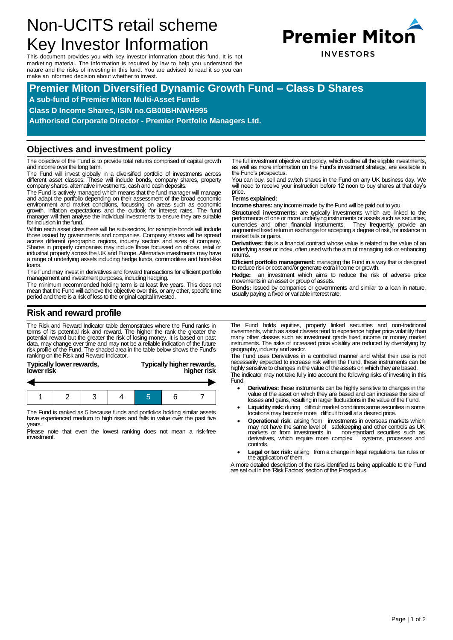# Non-UCITS retail scheme Key Investor Information

This document provides you with key investor information about this fund. It is not marketing material. The information is required by law to help you understand the nature and the risks of investing in this fund. You are advised to read it so you can make an informed decision about whether to invest.



# **Premier Miton Diversified Dynamic Growth Fund – Class D Shares**

**A sub-fund of Premier Miton Multi-Asset Funds**

**Class D Income Shares, ISIN no.GB00BHNWH995**

**Authorised Corporate Director - Premier Portfolio Managers Ltd.**

#### **Objectives and investment policy**

The objective of the Fund is to provide total returns comprised of capital growth and income over the long term.

The Fund will invest globally in a diversified portfolio of investments across different asset classes. These will include bonds, company shares, property company shares, alternative investments, cash and cash deposits.

The Fund is actively managed which means that the fund manager will manage and adapt the portfolio depending on their assessment of the broad economic environment and market conditions, focussing on areas such as economic growth, inflation expectations and the outlook for interest rates. The fund manager will then analyse the individual investments to ensure they are suitable for inclusion in the fund.

Within each asset class there will be sub-sectors, for example bonds will include those issued by governments and companies. Company shares will be spread<br>across different geographic regions, industry sectors and sizes of company.<br>Shares in property companies may include those focussed on offices, retai industrial property across the UK and Europe. Alternative investments may have a range of underlying assets including hedge funds, commodities and bond-like loans.

The Fund may invest in derivatives and forward transactions for efficient portfolio management and investment purposes, including hedging.

The minimum recommended holding term is at least five years. This does not mean that the Fund will achieve the objective over this, or any other, specific time period and there is a risk of loss to the original capital invested.

The full investment objective and policy, which outline all the eligible investments, as well as more information on the Fund's investment strategy, are available in the Fund's prospectus.

You can buy, sell and switch shares in the Fund on any UK business day. We will need to receive your instruction before 12 noon to buy shares at that day's price

#### **Terms explained:**

**Income shares:** any income made by the Fund will be paid out to you.

**Structured investments:** are typically investments which are linked to the performance of one or more underlying instruments or assets such as securities,<br>currencies and other financial instruments. They frequently provide an<br>augmented fixed return in exchange for accepting a degree of risk, for market falls or gains.

**Derivatives:** this is a financial contract whose value is related to the value of an underlying asset or index, often used with the aim of managing risk or enhancing returns.

**Efficient portfolio management:** managing the Fund in a way that is designed to reduce risk or cost and/or generate extra income or growth.

**Hedge:** an investment which aims to reduce the risk of adverse price movements in an asset or group of assets.

**Bonds:** Issued by companies or governments and similar to a loan in nature, usually paying a fixed or variable interest rate.

## **Risk and reward profile**

The Risk and Reward Indicator table demonstrates where the Fund ranks in<br>terms of its potential risk and reward. The higher the rank the greater the<br>potential reward but the greater the risk of losing money. It is based on risk profile of the Fund. The shaded area in the table below shows the Fund's ranking on the Risk and Reward Indicator.

| Typically lower rewards, | Typically higher rewards, |
|--------------------------|---------------------------|
| lower risk               | higher risk               |
|                          |                           |

The Fund is ranked as 5 because funds and portfolios holding similar assets have experienced medium to high rises and falls in value over the past five years.

Please note that even the lowest ranking does not mean a risk-free investment.

The Fund holds equities, property linked securities and non-traditional investments, which as asset classes tend to experience higher price volatility than many other classes such as investment grade fixed income or money market instruments. The risks of increased price volatility are reduced by diversifying by geography, industry and sector.

The Fund uses Derivatives in a controlled manner and whilst their use is not necessarily expected to increase risk within the Fund, these instruments can be highly sensitive to changes in the value of the assets on which they are based.

The indicator may not take fully into account the following risks of investing in this Fund:

- **Derivatives:** these instruments can be highly sensitive to changes in the value of the asset on which they are based and can increase the size of losses and gains, resulting in larger fluctuations in the value of the Fund.
- Liquidity risk: during difficult market conditions some securities in some locations may become more difficult to sell at a desired price.
- **Operational risk**: arising from investments in overseas markets which may not have the same level of safekeeping and other controls as UK markets or from investments in non-standard securities such as derivatives, which require more complex systems, processes and derivatives, which require more complex controls.
- Legal or tax risk: arising from a change in legal regulations, tax rules or the application of them.

A more detailed description of the risks identified as being applicable to the Fund are set out in the 'Risk Factors' section of the Prospectus.